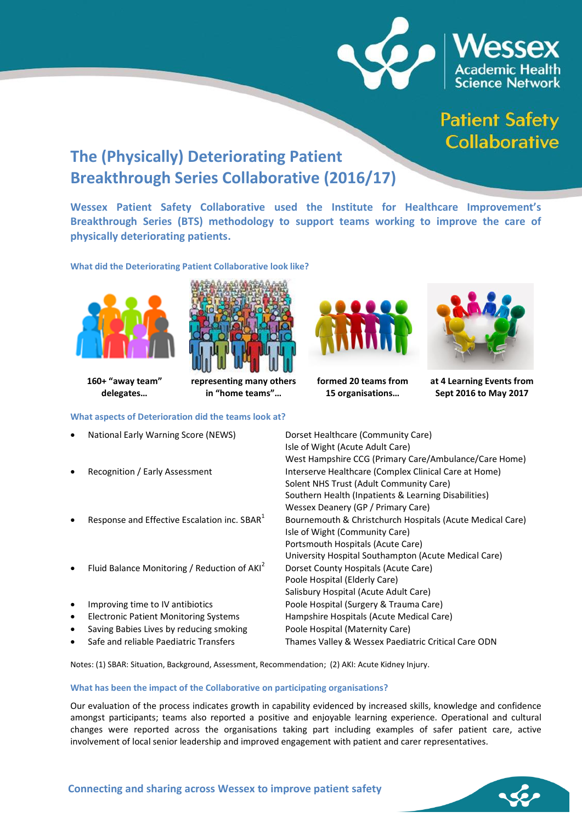

**Patient Safety Collaborative** 

# **The (Physically) Deteriorating Patient Breakthrough Series Collaborative (2016/17)**

**representing many others in "home teams"…** 

**Wessex Patient Safety Collaborative used the Institute for Healthcare Improvement's Breakthrough Series (BTS) methodology to support teams working to improve the care of physically deteriorating patients.**

**What did the Deteriorating Patient Collaborative look like?**



**160+ "away team" delegates…**

## **What aspects of Deterioration did the teams look at?**

- National Early Warning Score (NEWS) Dorset Healthcare (Community Care)
- 
- Response and Effective Escalation inc.  $SBAR<sup>1</sup>$
- Fluid Balance Monitoring / Reduction of AKI<sup>2</sup>
- 
- 
- Saving Babies Lives by reducing smoking Poole Hospital (Maternity Care)
- 



**formed 20 teams from 15 organisations…**



**at 4 Learning Events from Sept 2016 to May 2017**

Isle of Wight (Acute Adult Care) West Hampshire CCG (Primary Care/Ambulance/Care Home) Recognition / Early Assessment Interserve Healthcare (Complex Clinical Care at Home) Solent NHS Trust (Adult Community Care) Southern Health (Inpatients & Learning Disabilities) Wessex Deanery (GP / Primary Care) Bournemouth & Christchurch Hospitals (Acute Medical Care) Isle of Wight (Community Care) Portsmouth Hospitals (Acute Care) University Hospital Southampton (Acute Medical Care) Dorset County Hospitals (Acute Care) Poole Hospital (Elderly Care) Salisbury Hospital (Acute Adult Care) Improving time to IV antibiotics **Poole Hospital (Surgery & Trauma Care)**  Electronic Patient Monitoring Systems Hampshire Hospitals (Acute Medical Care) Safe and reliable Paediatric Transfers Thames Valley & Wessex Paediatric Critical Care ODN

Notes: (1) SBAR: Situation, Background, Assessment, Recommendation; (2) AKI: Acute Kidney Injury.

## **What has been the impact of the Collaborative on participating organisations?**

Our evaluation of the process indicates growth in capability evidenced by increased skills, knowledge and confidence amongst participants; teams also reported a positive and enjoyable learning experience. Operational and cultural changes were reported across the organisations taking part including examples of safer patient care, active involvement of local senior leadership and improved engagement with patient and carer representatives.

**Connecting and sharing across Wessex to improve patient safety**